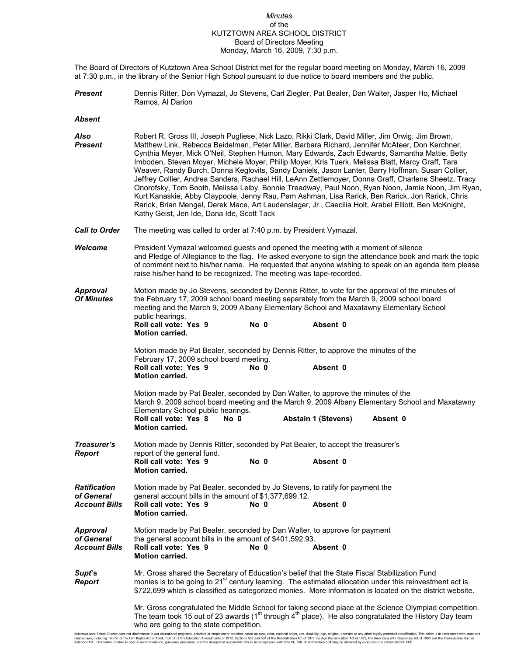## *Minutes* of the KUTZTOWN AREA SCHOOL DISTRICT Board of Directors Meeting Monday, March 16, 2009, 7:30 p.m.

The Board of Directors of Kutztown Area School District met for the regular board meeting on Monday, March 16, 2009 at 7:30 p.m., in the library of the Senior High School pursuant to due notice to board members and the public.

- *Present* Dennis Ritter, Don Vymazal, Jo Stevens, Carl Ziegler, Pat Bealer, Dan Walter, Jasper Ho, Michael Ramos, Al Darion
- *Absent*

| Also<br>Present                                           | Robert R. Gross III, Joseph Pugliese, Nick Lazo, Rikki Clark, David Miller, Jim Orwig, Jim Brown,<br>Matthew Link, Rebecca Beidelman, Peter Miller, Barbara Richard, Jennifer McAteer, Don Kerchner,<br>Cynthia Meyer, Mick O'Neil, Stephen Humon, Mary Edwards, Zach Edwards, Samantha Mattie, Betty<br>Imboden, Steven Moyer, Michele Moyer, Philip Moyer, Kris Tuerk, Melissa Blatt, Marcy Graff, Tara<br>Weaver, Randy Burch, Donna Keglovits, Sandy Daniels, Jason Lanter, Barry Hoffman, Susan Collier,<br>Jeffrey Collier, Andrea Sanders, Rachael Hill, LeAnn Zettlemoyer, Donna Graff, Charlene Sheetz, Tracy<br>Onorofsky, Tom Booth, Melissa Leiby, Bonnie Treadway, Paul Noon, Ryan Noon, Jamie Noon, Jim Ryan,<br>Kurt Kanaskie, Abby Claypoole, Jenny Rau, Pam Ashman, Lisa Rarick, Ben Rarick, Jon Rarick, Chris<br>Rarick, Brian Mengel, Derek Mace, Art Laudenslager, Jr., Caecilia Holt, Arabel Elliott, Ben McKnight,<br>Kathy Geist, Jen Ide, Dana Ide, Scott Tack |  |  |  |  |
|-----------------------------------------------------------|----------------------------------------------------------------------------------------------------------------------------------------------------------------------------------------------------------------------------------------------------------------------------------------------------------------------------------------------------------------------------------------------------------------------------------------------------------------------------------------------------------------------------------------------------------------------------------------------------------------------------------------------------------------------------------------------------------------------------------------------------------------------------------------------------------------------------------------------------------------------------------------------------------------------------------------------------------------------------------------|--|--|--|--|
| <b>Call to Order</b>                                      | The meeting was called to order at 7:40 p.m. by President Vymazal.                                                                                                                                                                                                                                                                                                                                                                                                                                                                                                                                                                                                                                                                                                                                                                                                                                                                                                                     |  |  |  |  |
| Welcome                                                   | President Vymazal welcomed guests and opened the meeting with a moment of silence<br>and Pledge of Allegiance to the flag. He asked everyone to sign the attendance book and mark the topic<br>of comment next to his/her name. He requested that anyone wishing to speak on an agenda item please<br>raise his/her hand to be recognized. The meeting was tape-recorded.                                                                                                                                                                                                                                                                                                                                                                                                                                                                                                                                                                                                              |  |  |  |  |
| <b>Approval</b><br><b>Of Minutes</b>                      | Motion made by Jo Stevens, seconded by Dennis Ritter, to vote for the approval of the minutes of<br>the February 17, 2009 school board meeting separately from the March 9, 2009 school board<br>meeting and the March 9, 2009 Albany Elementary School and Maxatawny Elementary School<br>public hearings.<br>Roll call vote: Yes 9<br>No 0<br>Absent 0<br><b>Motion carried.</b>                                                                                                                                                                                                                                                                                                                                                                                                                                                                                                                                                                                                     |  |  |  |  |
|                                                           | Motion made by Pat Bealer, seconded by Dennis Ritter, to approve the minutes of the<br>February 17, 2009 school board meeting.<br>Roll call vote: Yes 9<br>Absent 0<br>No 0<br><b>Motion carried.</b>                                                                                                                                                                                                                                                                                                                                                                                                                                                                                                                                                                                                                                                                                                                                                                                  |  |  |  |  |
|                                                           | Motion made by Pat Bealer, seconded by Dan Walter, to approve the minutes of the<br>March 9, 2009 school board meeting and the March 9, 2009 Albany Elementary School and Maxatawny<br>Elementary School public hearings.<br>Roll call vote: Yes 8<br><b>Abstain 1 (Stevens)</b><br>Absent 0<br>No 0<br><b>Motion carried.</b>                                                                                                                                                                                                                                                                                                                                                                                                                                                                                                                                                                                                                                                         |  |  |  |  |
| Treasurer's<br><b>Report</b>                              | Motion made by Dennis Ritter, seconded by Pat Bealer, to accept the treasurer's<br>report of the general fund.<br>Roll call vote: Yes 9<br>No 0<br>Absent 0<br><b>Motion carried.</b>                                                                                                                                                                                                                                                                                                                                                                                                                                                                                                                                                                                                                                                                                                                                                                                                  |  |  |  |  |
| <b>Ratification</b><br>of General<br><b>Account Bills</b> | Motion made by Pat Bealer, seconded by Jo Stevens, to ratify for payment the<br>general account bills in the amount of \$1,377,699.12.<br>Roll call vote: Yes 9<br>No 0<br>Absent 0<br><b>Motion carried.</b>                                                                                                                                                                                                                                                                                                                                                                                                                                                                                                                                                                                                                                                                                                                                                                          |  |  |  |  |
| <b>Approval</b><br>of General<br><b>Account Bills</b>     | Motion made by Pat Bealer, seconded by Dan Walter, to approve for payment<br>the general account bills in the amount of \$401,592.93.<br>Roll call vote: Yes 9<br>No 0<br>Absent 0<br><b>Motion carried.</b>                                                                                                                                                                                                                                                                                                                                                                                                                                                                                                                                                                                                                                                                                                                                                                           |  |  |  |  |
| Supt's<br><b>Report</b>                                   | Mr. Gross shared the Secretary of Education's belief that the State Fiscal Stabilization Fund<br>monies is to be going to 21 <sup>st</sup> century learning. The estimated allocation under this reinvestment act is<br>\$722,699 which is classified as categorized monies. More information is located on the district website.                                                                                                                                                                                                                                                                                                                                                                                                                                                                                                                                                                                                                                                      |  |  |  |  |
|                                                           | Mr. Gross congratulated the Middle School for taking second place at the Science Olympiad competition.<br>The team took 15 out of 23 awards ( $1st$ through $4th$ place). He also congratulated the History Day team<br>who are going to the state competition.                                                                                                                                                                                                                                                                                                                                                                                                                                                                                                                                                                                                                                                                                                                        |  |  |  |  |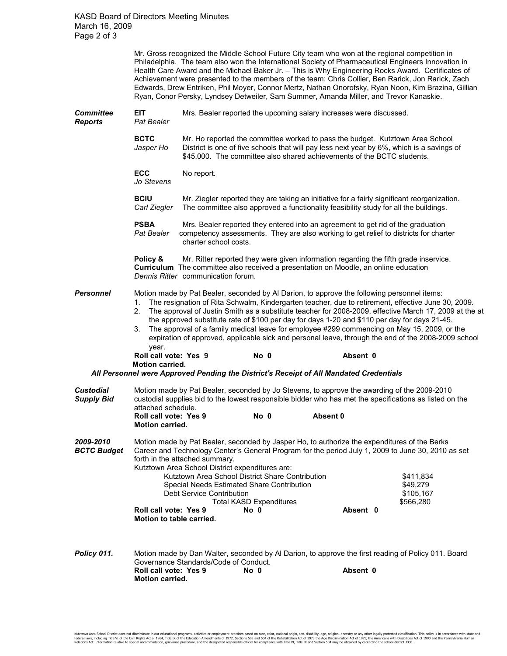Mr. Gross recognized the Middle School Future City team who won at the regional competition in Philadelphia. The team also won the International Society of Pharmaceutical Engineers Innovation in Health Care Award and the Michael Baker Jr. – This is Why Engineering Rocks Award. Certificates of Achievement were presented to the members of the team: Chris Collier, Ben Rarick, Jon Rarick, Zach Edwards, Drew Entriken, Phil Moyer, Connor Mertz, Nathan Onorofsky, Ryan Noon, Kim Brazina, Gillian Ryan, Conor Persky, Lyndsey Detweiler, Sam Summer, Amanda Miller, and Trevor Kanaskie.

**Committee EIT** Mrs. Bealer reported the upcoming salary increases were discussed.<br>**Reports** Pat Bealer *Reports Pat Bealer*  **BCTC** Mr. Ho reported the committee worked to pass the budget. Kutztown Area School *Jasper Ho* District is one of five schools that will pay less next year by 6%, which is a savings of \$45,000. The committee also shared achievements of the BCTC students. **ECC** No report. *Jo Stevens*  **BCIU** Mr. Ziegler reported they are taking an initiative for a fairly significant reorganization. *Carl Ziegler* The committee also approved a functionality feasibility study for all the buildings. **PSBA** Mrs. Bealer reported they entered into an agreement to get rid of the graduation *Pat Bealer* competency assessments. They are also working to get relief to districts for chart competency assessments. They are also working to get relief to districts for charter charter school costs. **Policy & Mr. Ritter reported they were given information regarding the fifth grade inservice. Curriculum** The committee also received a presentation on Moodle, an online education *Dennis Ritter* communication forum. **Personnel** Motion made by Pat Bealer, seconded by Al Darion, to approve the following personnel items: 1. The resignation of Rita Schwalm, Kindergarten teacher, due to retirement, effective June 30, 2009. 2. The approval of Justin Smith as a substitute teacher for 2008-2009, effective March 17, 2009 at the at the approved substitute rate of \$100 per day for days 1-20 and \$110 per day for days 21-45. 3. The approval of a family medical leave for employee #299 commencing on May 15, 2009, or the expiration of approved, applicable sick and personal leave, through the end of the 2008-2009 school year. **Roll call vote: Yes 9 No 0 Absent 0 Motion carried.**   *All Personnel were Approved Pending the District's Receipt of All Mandated Credentials*  **Custodial** Motion made by Pat Bealer, seconded by Jo Stevens, to approve the awarding of the 2009-2010<br>**Supply Bid** custodial supplies bid to the lowest responsible bidder who has met the specifications as listed or *Supply Bid* custodial supplies bid to the lowest responsible bidder who has met the specifications as listed on the attached schedule. **Roll call vote: Yes 9 No 0 Absent 0 Motion carried.**  2009-2010 Motion made by Pat Bealer, seconded by Jasper Ho, to authorize the expenditures of the Berks<br>**BCTC Budget** Career and Technology Center's General Program for the period July 1, 2009 to June 30, 2010 *BCTC Budget* Career and Technology Center's General Program for the period July 1, 2009 to June 30, 2010 as set forth in the attached summary. Kutztown Area School District expenditures are: **Kutztown Area School District Share Contribution**  $$411.834$ Special Needs Estimated Share Contribution **\$49,279** \$49,279 Debt Service Contribution<br>Total KASD Expenditures 6566.280 Total KASD Expenditures<br>**No 0** 666,281 Absent **Roll call vote: Yes 9 Motion to table carried. Policy 011.** Motion made by Dan Walter, seconded by Al Darion, to approve the first reading of Policy 011. Board

Governance Standards/Code of Conduct.<br> **Roll call vote: Yes 9 No 0 Roll call vote: Yes 9 No 0 Absent 0 Absent 0 Motion carried.**